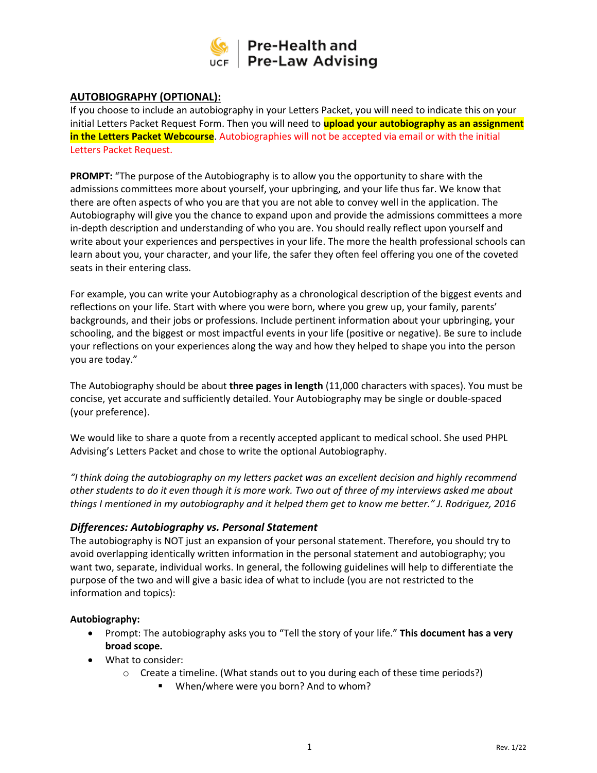

# **AUTOBIOGRAPHY (OPTIONAL):**

If you choose to include an autobiography in your Letters Packet, you will need to indicate this on your initial Letters Packet Request Form. Then you will need to **upload your autobiography as an assignment in the Letters Packet Webcourse**. Autobiographies will not be accepted via email or with the initial Letters Packet Request.

**PROMPT:** "The purpose of the Autobiography is to allow you the opportunity to share with the admissions committees more about yourself, your upbringing, and your life thus far. We know that there are often aspects of who you are that you are not able to convey well in the application. The Autobiography will give you the chance to expand upon and provide the admissions committees a more in-depth description and understanding of who you are. You should really reflect upon yourself and write about your experiences and perspectives in your life. The more the health professional schools can learn about you, your character, and your life, the safer they often feel offering you one of the coveted seats in their entering class.

For example, you can write your Autobiography as a chronological description of the biggest events and reflections on your life. Start with where you were born, where you grew up, your family, parents' backgrounds, and their jobs or professions. Include pertinent information about your upbringing, your schooling, and the biggest or most impactful events in your life (positive or negative). Be sure to include your reflections on your experiences along the way and how they helped to shape you into the person you are today."

The Autobiography should be about **three pages in length** (11,000 characters with spaces). You must be concise, yet accurate and sufficiently detailed. Your Autobiography may be single or double-spaced (your preference).

We would like to share a quote from a recently accepted applicant to medical school. She used PHPL Advising's Letters Packet and chose to write the optional Autobiography.

*"I think doing the autobiography on my letters packet was an excellent decision and highly recommend other students to do it even though it is more work. Two out of three of my interviews asked me about things I mentioned in my autobiography and it helped them get to know me better." J. Rodriguez, 2016*

## *Differences: Autobiography vs. Personal Statement*

The autobiography is NOT just an expansion of your personal statement. Therefore, you should try to avoid overlapping identically written information in the personal statement and autobiography; you want two, separate, individual works. In general, the following guidelines will help to differentiate the purpose of the two and will give a basic idea of what to include (you are not restricted to the information and topics):

## **Autobiography:**

- Prompt: The autobiography asks you to "Tell the story of your life." **This document has a very broad scope.**
- What to consider:
	- $\circ$  Create a timeline. (What stands out to you during each of these time periods?)
		- When/where were you born? And to whom?